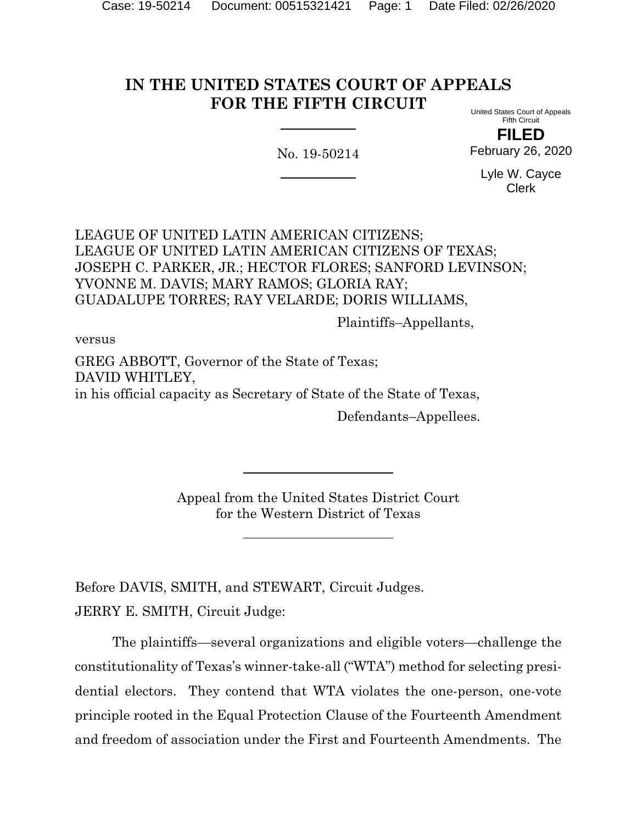#### **IN THE UNITED STATES COURT OF APPEALS FOR THE FIFTH CIRCUIT** United States Court of Appeals

No. 19-50214

Fifth Circuit **FILED**

February 26, 2020

Lyle W. Cayce Clerk

LEAGUE OF UNITED LATIN AMERICAN CITIZENS; LEAGUE OF UNITED LATIN AMERICAN CITIZENS OF TEXAS; JOSEPH C. PARKER, JR.; HECTOR FLORES; SANFORD LEVINSON; YVONNE M. DAVIS; MARY RAMOS; GLORIA RAY; GUADALUPE TORRES; RAY VELARDE; DORIS WILLIAMS,

Plaintiffs–Appellants,

versus

GREG ABBOTT, Governor of the State of Texas; DAVID WHITLEY, in his official capacity as Secretary of State of the State of Texas, Defendants–Appellees.

> Appeal from the United States District Court for the Western District of Texas

Before DAVIS, SMITH, and STEWART, Circuit Judges. JERRY E. SMITH, Circuit Judge:

The plaintiffs—several organizations and eligible voters—challenge the constitutionality of Texas's winner-take-all ("WTA") method for selecting presidential electors. They contend that WTA violates the one-person, one-vote principle rooted in the Equal Protection Clause of the Fourteenth Amendment and freedom of association under the First and Fourteenth Amendments. The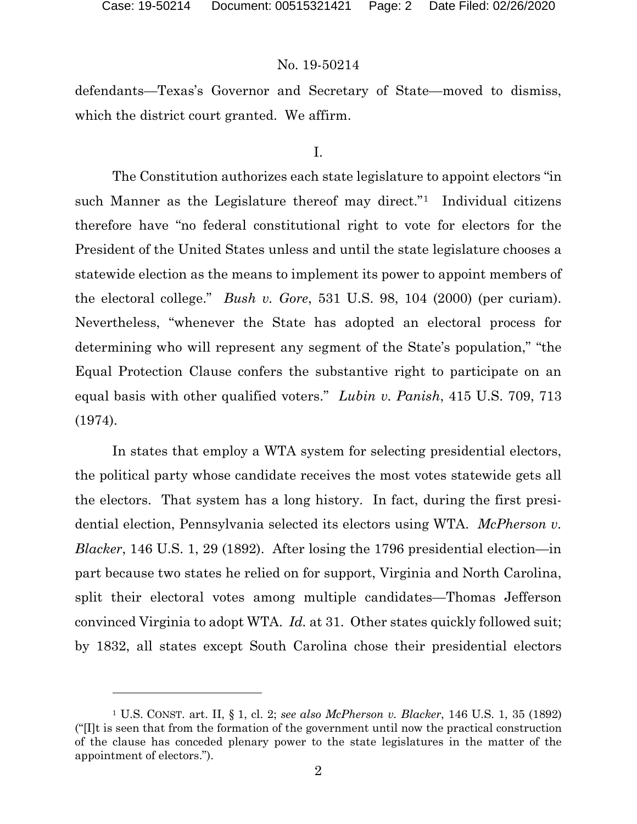defendants—Texas's Governor and Secretary of State—moved to dismiss, which the district court granted. We affirm.

### I.

The Constitution authorizes each state legislature to appoint electors "in such Manner as the Legislature thereof may direct."<sup>[1](#page-1-0)</sup> Individual citizens therefore have "no federal constitutional right to vote for electors for the President of the United States unless and until the state legislature chooses a statewide election as the means to implement its power to appoint members of the electoral college." *Bush v. Gore*, 531 U.S. 98, 104 (2000) (per curiam). Nevertheless, "whenever the State has adopted an electoral process for determining who will represent any segment of the State's population," "the Equal Protection Clause confers the substantive right to participate on an equal basis with other qualified voters." *Lubin v. Panish*, 415 U.S. 709, 713 (1974).

In states that employ a WTA system for selecting presidential electors, the political party whose candidate receives the most votes statewide gets all the electors. That system has a long history. In fact, during the first presidential election, Pennsylvania selected its electors using WTA. *McPherson v. Blacker*, 146 U.S. 1, 29 (1892). After losing the 1796 presidential election—in part because two states he relied on for support, Virginia and North Carolina, split their electoral votes among multiple candidates—Thomas Jefferson convinced Virginia to adopt WTA. *Id.* at 31. Other states quickly followed suit; by 1832, all states except South Carolina chose their presidential electors

<span id="page-1-0"></span><sup>1</sup> U.S. CONST. art. II, § 1, cl. 2; *see also McPherson v. Blacker*, 146 U.S. 1, 35 (1892) ("[I]t is seen that from the formation of the government until now the practical construction of the clause has conceded plenary power to the state legislatures in the matter of the appointment of electors.").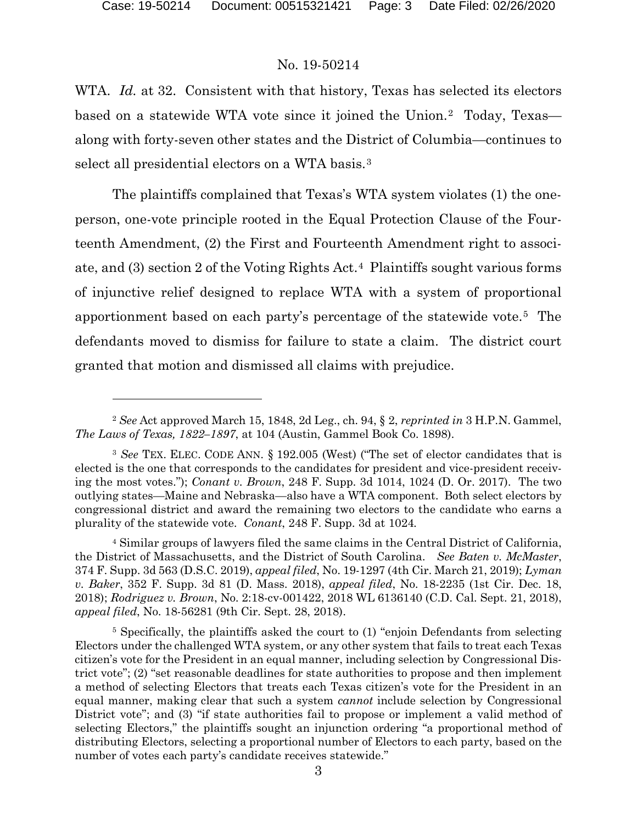WTA. *Id.* at 32. Consistent with that history, Texas has selected its electors based on a statewide WTA vote since it joined the Union.[2](#page-2-0) Today, Texas along with forty-seven other states and the District of Columbia—continues to select all presidential electors on a WTA basis.[3](#page-2-1)

The plaintiffs complained that Texas's WTA system violates (1) the oneperson, one-vote principle rooted in the Equal Protection Clause of the Fourteenth Amendment, (2) the First and Fourteenth Amendment right to associate, and (3) section 2 of the Voting Rights Act.[4](#page-2-2) Plaintiffs sought various forms of injunctive relief designed to replace WTA with a system of proportional apportionment based on each party's percentage of the statewide vote.[5](#page-2-3) The defendants moved to dismiss for failure to state a claim. The district court granted that motion and dismissed all claims with prejudice.

<span id="page-2-2"></span><sup>4</sup> Similar groups of lawyers filed the same claims in the Central District of California, the District of Massachusetts, and the District of South Carolina. *See Baten v. McMaster*, 374 F. Supp. 3d 563 (D.S.C. 2019), *appeal filed*, No. 19-1297 (4th Cir. March 21, 2019); *Lyman v. Baker*, 352 F. Supp. 3d 81 (D. Mass. 2018), *appeal filed*, No. 18-2235 (1st Cir. Dec. 18, 2018); *Rodriguez v. Brown*, No. 2:18-cv-001422, 2018 WL 6136140 (C.D. Cal. Sept. 21, 2018), *appeal filed*, No. 18-56281 (9th Cir. Sept. 28, 2018).

<span id="page-2-3"></span><sup>5</sup> Specifically, the plaintiffs asked the court to (1) "enjoin Defendants from selecting Electors under the challenged WTA system, or any other system that fails to treat each Texas citizen's vote for the President in an equal manner, including selection by Congressional District vote"; (2) "set reasonable deadlines for state authorities to propose and then implement a method of selecting Electors that treats each Texas citizen's vote for the President in an equal manner, making clear that such a system *cannot* include selection by Congressional District vote"; and (3) "if state authorities fail to propose or implement a valid method of selecting Electors," the plaintiffs sought an injunction ordering "a proportional method of distributing Electors, selecting a proportional number of Electors to each party, based on the number of votes each party's candidate receives statewide."

<span id="page-2-0"></span><sup>2</sup> *See* Act approved March 15, 1848, 2d Leg., ch. 94, § 2, *reprinted in* 3 H.P.N. Gammel, *The Laws of Texas, 1822–1897*, at 104 (Austin, Gammel Book Co. 1898).

<span id="page-2-1"></span><sup>3</sup> *See* TEX. ELEC. CODE ANN. § 192.005 (West) ("The set of elector candidates that is elected is the one that corresponds to the candidates for president and vice-president receiving the most votes."); *Conant v. Brown*, 248 F. Supp. 3d 1014, 1024 (D. Or. 2017). The two outlying states—Maine and Nebraska—also have a WTA component. Both select electors by congressional district and award the remaining two electors to the candidate who earns a plurality of the statewide vote. *Conant*, 248 F. Supp. 3d at 1024*.*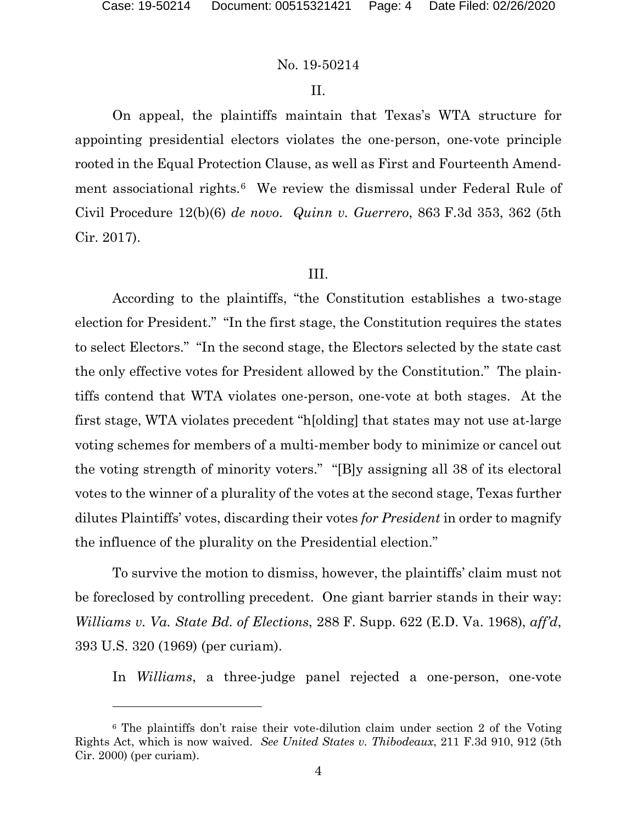#### II.

On appeal, the plaintiffs maintain that Texas's WTA structure for appointing presidential electors violates the one-person, one-vote principle rooted in the Equal Protection Clause, as well as First and Fourteenth Amend-ment associational rights.<sup>[6](#page-3-0)</sup> We review the dismissal under Federal Rule of Civil Procedure 12(b)(6) *de novo*. *Quinn v. Guerrero*, 863 F.3d 353, 362 (5th Cir. 2017).

#### III.

According to the plaintiffs, "the Constitution establishes a two-stage election for President." "In the first stage, the Constitution requires the states to select Electors." "In the second stage, the Electors selected by the state cast the only effective votes for President allowed by the Constitution." The plaintiffs contend that WTA violates one-person, one-vote at both stages. At the first stage, WTA violates precedent "h[olding] that states may not use at-large voting schemes for members of a multi-member body to minimize or cancel out the voting strength of minority voters." "[B]y assigning all 38 of its electoral votes to the winner of a plurality of the votes at the second stage, Texas further dilutes Plaintiffs' votes, discarding their votes *for President* in order to magnify the influence of the plurality on the Presidential election."

To survive the motion to dismiss, however, the plaintiffs' claim must not be foreclosed by controlling precedent. One giant barrier stands in their way: *Williams v. Va. State Bd. of Elections*, 288 F. Supp. 622 (E.D. Va. 1968), *aff'd*, 393 U.S. 320 (1969) (per curiam).

In *Williams*, a three-judge panel rejected a one-person, one-vote

<span id="page-3-0"></span><sup>6</sup> The plaintiffs don't raise their vote-dilution claim under section 2 of the Voting Rights Act, which is now waived. *See United States v. Thibodeaux*, 211 F.3d 910, 912 (5th Cir. 2000) (per curiam).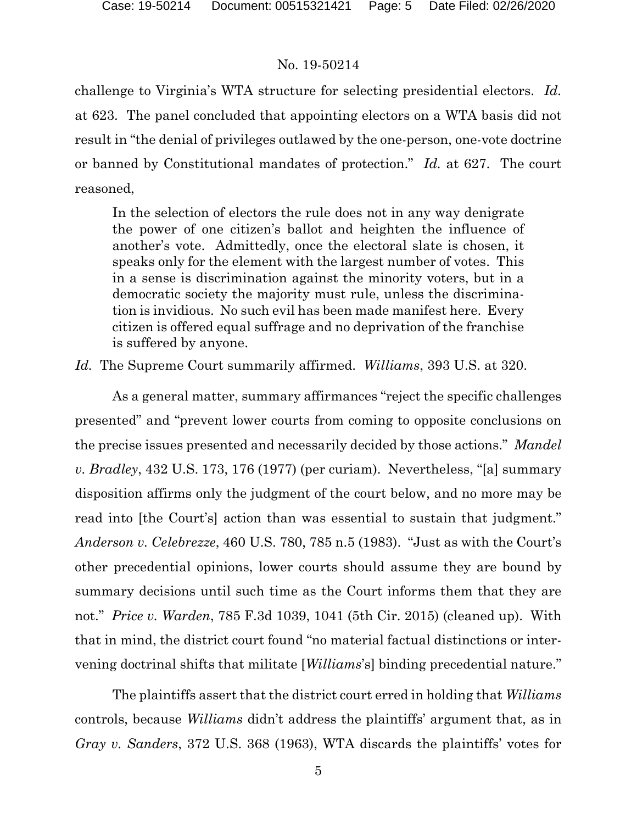challenge to Virginia's WTA structure for selecting presidential electors. *Id.* at 623. The panel concluded that appointing electors on a WTA basis did not result in "the denial of privileges outlawed by the one-person, one-vote doctrine or banned by Constitutional mandates of protection." *Id.* at 627. The court reasoned,

In the selection of electors the rule does not in any way denigrate the power of one citizen's ballot and heighten the influence of another's vote. Admittedly, once the electoral slate is chosen, it speaks only for the element with the largest number of votes. This in a sense is discrimination against the minority voters, but in a democratic society the majority must rule, unless the discrimination is invidious. No such evil has been made manifest here. Every citizen is offered equal suffrage and no deprivation of the franchise is suffered by anyone.

*Id.* The Supreme Court summarily affirmed. *Williams*, 393 U.S. at 320.

As a general matter, summary affirmances "reject the specific challenges presented" and "prevent lower courts from coming to opposite conclusions on the precise issues presented and necessarily decided by those actions." *Mandel v. Bradley*, 432 U.S. 173, 176 (1977) (per curiam). Nevertheless, "[a] summary disposition affirms only the judgment of the court below, and no more may be read into [the Court's] action than was essential to sustain that judgment." *Anderson v. Celebrezze*, 460 U.S. 780, 785 n.5 (1983). "Just as with the Court's other precedential opinions, lower courts should assume they are bound by summary decisions until such time as the Court informs them that they are not." *Price v. Warden*, 785 F.3d 1039, 1041 (5th Cir. 2015) (cleaned up). With that in mind, the district court found "no material factual distinctions or intervening doctrinal shifts that militate [*Williams*'s] binding precedential nature."

The plaintiffs assert that the district court erred in holding that *Williams* controls, because *Williams* didn't address the plaintiffs' argument that, as in *Gray v. Sanders*, 372 U.S. 368 (1963), WTA discards the plaintiffs' votes for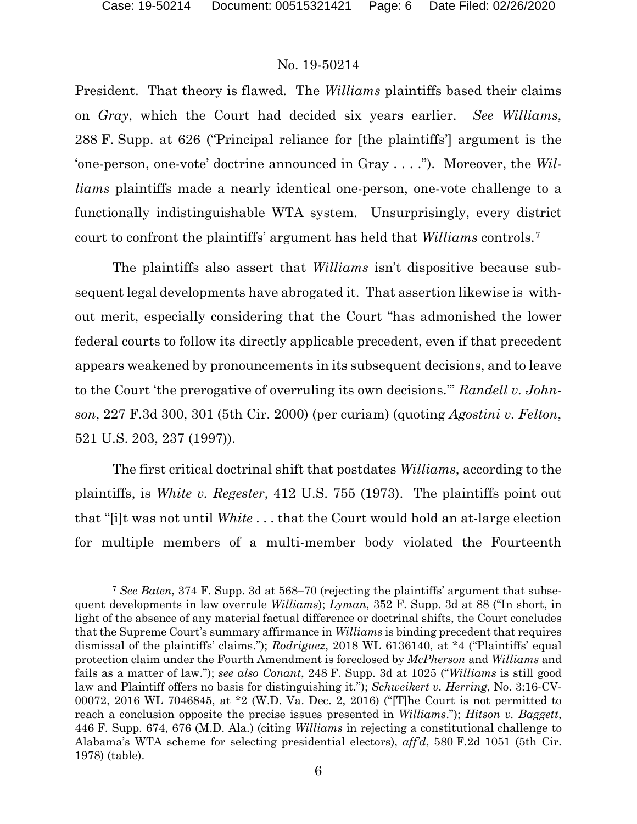President. That theory is flawed. The *Williams* plaintiffs based their claims on *Gray*, which the Court had decided six years earlier. *See Williams*, 288 F. Supp. at 626 ("Principal reliance for [the plaintiffs'] argument is the 'one-person, one-vote' doctrine announced in Gray . . . ."). Moreover, the *Williams* plaintiffs made a nearly identical one-person, one-vote challenge to a functionally indistinguishable WTA system. Unsurprisingly, every district court to confront the plaintiffs' argument has held that *Williams* controls.[7](#page-5-0)

The plaintiffs also assert that *Williams* isn't dispositive because subsequent legal developments have abrogated it. That assertion likewise is without merit, especially considering that the Court "has admonished the lower federal courts to follow its directly applicable precedent, even if that precedent appears weakened by pronouncements in its subsequent decisions, and to leave to the Court 'the prerogative of overruling its own decisions.'" *Randell v. Johnson*, 227 F.3d 300, 301 (5th Cir. 2000) (per curiam) (quoting *Agostini v. Felton*, 521 U.S. 203, 237 (1997)).

The first critical doctrinal shift that postdates *Williams*, according to the plaintiffs, is *White v. Regester*, 412 U.S. 755 (1973). The plaintiffs point out that "[i]t was not until *White* . . . that the Court would hold an at-large election for multiple members of a multi-member body violated the Fourteenth

<span id="page-5-0"></span><sup>7</sup> *See Baten*, 374 F. Supp. 3d at 568–70 (rejecting the plaintiffs' argument that subsequent developments in law overrule *Williams*); *Lyman*, 352 F. Supp. 3d at 88 ("In short, in light of the absence of any material factual difference or doctrinal shifts, the Court concludes that the Supreme Court's summary affirmance in *Williams* is binding precedent that requires dismissal of the plaintiffs' claims."); *Rodriguez*, 2018 WL 6136140, at \*4 ("Plaintiffs' equal protection claim under the Fourth Amendment is foreclosed by *McPherson* and *Williams* and fails as a matter of law."); *see also Conant*, 248 F. Supp. 3d at 1025 ("*Williams* is still good law and Plaintiff offers no basis for distinguishing it."); *Schweikert v. Herring*, No. 3:16-CV-00072, 2016 WL 7046845, at \*2 (W.D. Va. Dec. 2, 2016) ("[T]he Court is not permitted to reach a conclusion opposite the precise issues presented in *Williams*."); *Hitson v. Baggett*, 446 F. Supp. 674, 676 (M.D. Ala.) (citing *Williams* in rejecting a constitutional challenge to Alabama's WTA scheme for selecting presidential electors), *aff'd*, 580 F.2d 1051 (5th Cir. 1978) (table).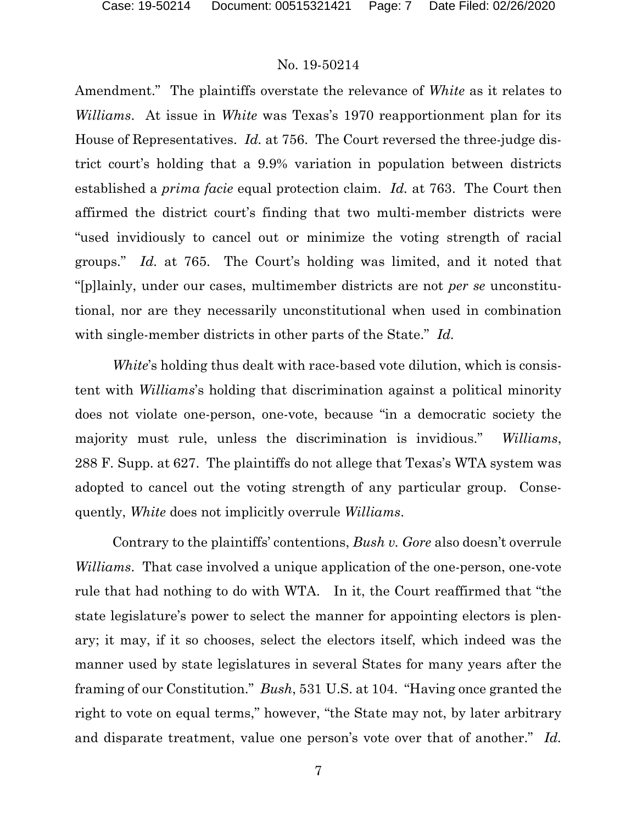Amendment." The plaintiffs overstate the relevance of *White* as it relates to *Williams*. At issue in *White* was Texas's 1970 reapportionment plan for its House of Representatives. *Id.* at 756. The Court reversed the three-judge district court's holding that a 9.9% variation in population between districts established a *prima facie* equal protection claim. *Id.* at 763. The Court then affirmed the district court's finding that two multi-member districts were "used invidiously to cancel out or minimize the voting strength of racial groups." *Id.* at 765. The Court's holding was limited, and it noted that "[p]lainly, under our cases, multimember districts are not *per se* unconstitutional, nor are they necessarily unconstitutional when used in combination with single-member districts in other parts of the State." *Id.*

*White*'s holding thus dealt with race-based vote dilution, which is consistent with *Williams*'s holding that discrimination against a political minority does not violate one-person, one-vote, because "in a democratic society the majority must rule, unless the discrimination is invidious." *Williams*, 288 F. Supp. at 627. The plaintiffs do not allege that Texas's WTA system was adopted to cancel out the voting strength of any particular group. Consequently, *White* does not implicitly overrule *Williams*.

Contrary to the plaintiffs' contentions, *Bush v. Gore* also doesn't overrule *Williams*. That case involved a unique application of the one-person, one-vote rule that had nothing to do with WTA. In it, the Court reaffirmed that "the state legislature's power to select the manner for appointing electors is plenary; it may, if it so chooses, select the electors itself, which indeed was the manner used by state legislatures in several States for many years after the framing of our Constitution." *Bush*, 531 U.S. at 104. "Having once granted the right to vote on equal terms," however, "the State may not, by later arbitrary and disparate treatment, value one person's vote over that of another." *Id.*

7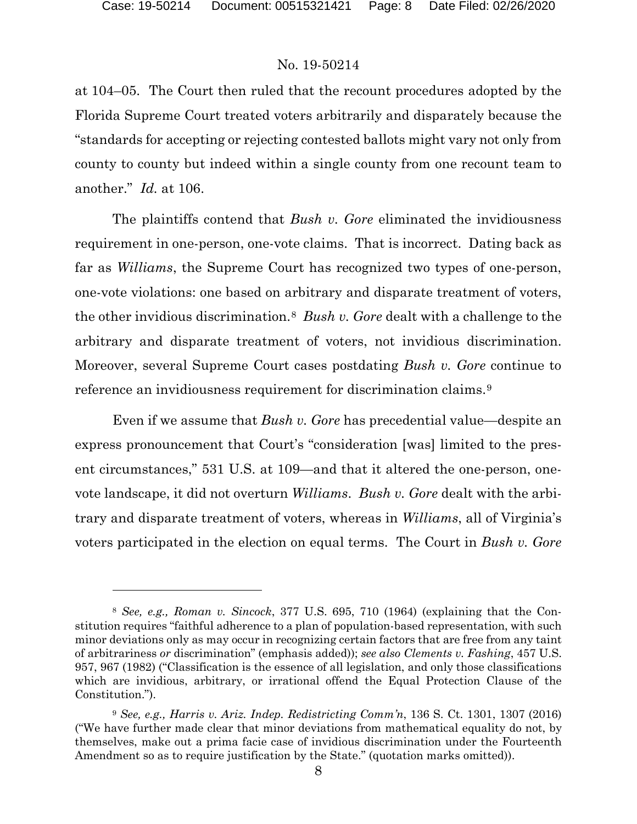at 104–05. The Court then ruled that the recount procedures adopted by the Florida Supreme Court treated voters arbitrarily and disparately because the "standards for accepting or rejecting contested ballots might vary not only from county to county but indeed within a single county from one recount team to another." *Id.* at 106.

The plaintiffs contend that *Bush v. Gore* eliminated the invidiousness requirement in one-person, one-vote claims. That is incorrect. Dating back as far as *Williams*, the Supreme Court has recognized two types of one-person, one-vote violations: one based on arbitrary and disparate treatment of voters, the other invidious discrimination.[8](#page-7-0) *Bush v. Gore* dealt with a challenge to the arbitrary and disparate treatment of voters, not invidious discrimination. Moreover, several Supreme Court cases postdating *Bush v. Gore* continue to reference an invidiousness requirement for discrimination claims.<sup>[9](#page-7-1)</sup>

Even if we assume that *Bush v. Gore* has precedential value—despite an express pronouncement that Court's "consideration [was] limited to the present circumstances," 531 U.S. at 109—and that it altered the one-person, onevote landscape, it did not overturn *Williams*. *Bush v. Gore* dealt with the arbitrary and disparate treatment of voters, whereas in *Williams*, all of Virginia's voters participated in the election on equal terms. The Court in *Bush v. Gore*

<span id="page-7-0"></span><sup>8</sup> *See, e.g., Roman v. Sincock*, 377 U.S. 695, 710 (1964) (explaining that the Constitution requires "faithful adherence to a plan of population-based representation, with such minor deviations only as may occur in recognizing certain factors that are free from any taint of arbitrariness *or* discrimination" (emphasis added)); *see also Clements v. Fashing*, 457 U.S. 957, 967 (1982) ("Classification is the essence of all legislation, and only those classifications which are invidious, arbitrary, or irrational offend the Equal Protection Clause of the Constitution.").

<span id="page-7-1"></span><sup>9</sup> *See, e.g., Harris v. Ariz. Indep. Redistricting Comm'n*, 136 S. Ct. 1301, 1307 (2016) ("We have further made clear that minor deviations from mathematical equality do not, by themselves, make out a prima facie case of invidious discrimination under the Fourteenth Amendment so as to require justification by the State." (quotation marks omitted)).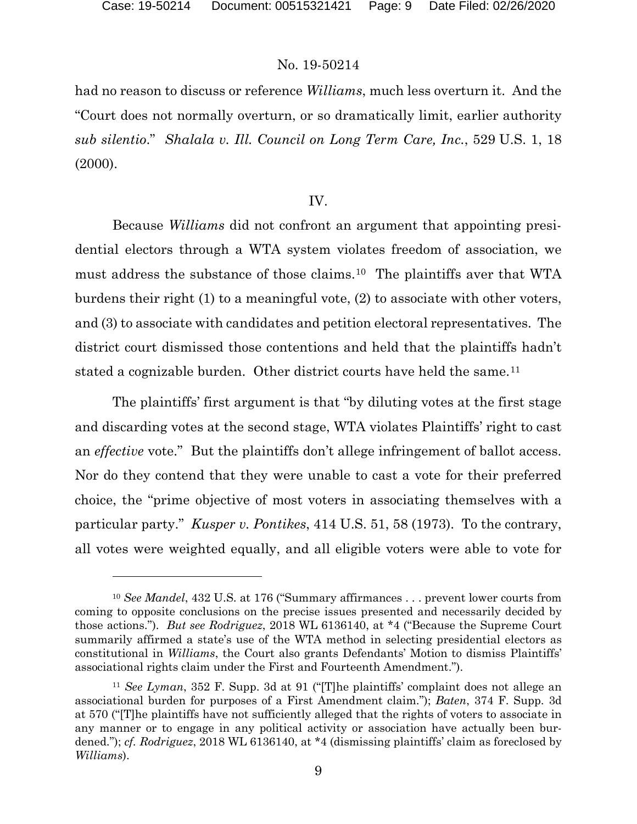had no reason to discuss or reference *Williams*, much less overturn it. And the "Court does not normally overturn, or so dramatically limit, earlier authority *sub silentio*." *Shalala v. Ill. Council on Long Term Care, Inc.*, 529 U.S. 1, 18 (2000).

#### IV.

Because *Williams* did not confront an argument that appointing presidential electors through a WTA system violates freedom of association, we must address the substance of those claims.[10](#page-8-0) The plaintiffs aver that WTA burdens their right (1) to a meaningful vote, (2) to associate with other voters, and (3) to associate with candidates and petition electoral representatives. The district court dismissed those contentions and held that the plaintiffs hadn't stated a cognizable burden. Other district courts have held the same.<sup>[11](#page-8-1)</sup>

The plaintiffs' first argument is that "by diluting votes at the first stage and discarding votes at the second stage, WTA violates Plaintiffs' right to cast an *effective* vote." But the plaintiffs don't allege infringement of ballot access. Nor do they contend that they were unable to cast a vote for their preferred choice, the "prime objective of most voters in associating themselves with a particular party." *Kusper v. Pontikes*, 414 U.S. 51, 58 (1973). To the contrary, all votes were weighted equally, and all eligible voters were able to vote for

<span id="page-8-0"></span><sup>10</sup> *See Mandel*, 432 U.S. at 176 ("Summary affirmances . . . prevent lower courts from coming to opposite conclusions on the precise issues presented and necessarily decided by those actions."). *But see Rodriguez*, 2018 WL 6136140, at \*4 ("Because the Supreme Court summarily affirmed a state's use of the WTA method in selecting presidential electors as constitutional in *Williams*, the Court also grants Defendants' Motion to dismiss Plaintiffs' associational rights claim under the First and Fourteenth Amendment.").

<span id="page-8-1"></span><sup>11</sup> *See Lyman*, 352 F. Supp. 3d at 91 ("[T]he plaintiffs' complaint does not allege an associational burden for purposes of a First Amendment claim."); *Baten*, 374 F. Supp. 3d at 570 ("[T]he plaintiffs have not sufficiently alleged that the rights of voters to associate in any manner or to engage in any political activity or association have actually been burdened."); *cf. Rodriguez*, 2018 WL 6136140, at \*4 (dismissing plaintiffs' claim as foreclosed by *Williams*).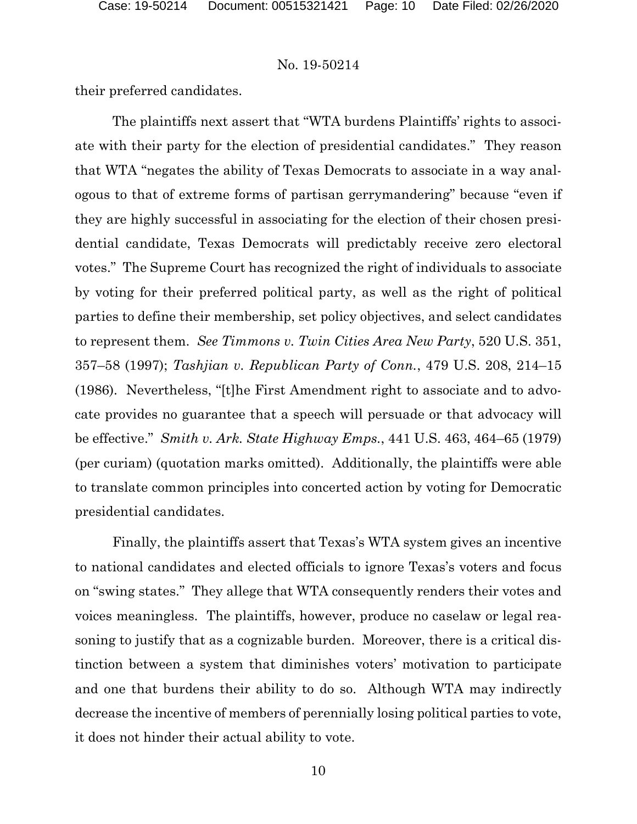their preferred candidates.

The plaintiffs next assert that "WTA burdens Plaintiffs' rights to associate with their party for the election of presidential candidates." They reason that WTA "negates the ability of Texas Democrats to associate in a way analogous to that of extreme forms of partisan gerrymandering" because "even if they are highly successful in associating for the election of their chosen presidential candidate, Texas Democrats will predictably receive zero electoral votes." The Supreme Court has recognized the right of individuals to associate by voting for their preferred political party, as well as the right of political parties to define their membership, set policy objectives, and select candidates to represent them. *See Timmons v. Twin Cities Area New Party*, 520 U.S. 351, 357–58 (1997); *Tashjian v. Republican Party of Conn.*, 479 U.S. 208, 214–15 (1986). Nevertheless, "[t]he First Amendment right to associate and to advocate provides no guarantee that a speech will persuade or that advocacy will be effective." *Smith v. Ark. State Highway Emps.*, 441 U.S. 463, 464–65 (1979) (per curiam) (quotation marks omitted). Additionally, the plaintiffs were able to translate common principles into concerted action by voting for Democratic presidential candidates.

Finally, the plaintiffs assert that Texas's WTA system gives an incentive to national candidates and elected officials to ignore Texas's voters and focus on "swing states." They allege that WTA consequently renders their votes and voices meaningless. The plaintiffs, however, produce no caselaw or legal reasoning to justify that as a cognizable burden. Moreover, there is a critical distinction between a system that diminishes voters' motivation to participate and one that burdens their ability to do so. Although WTA may indirectly decrease the incentive of members of perennially losing political parties to vote, it does not hinder their actual ability to vote.